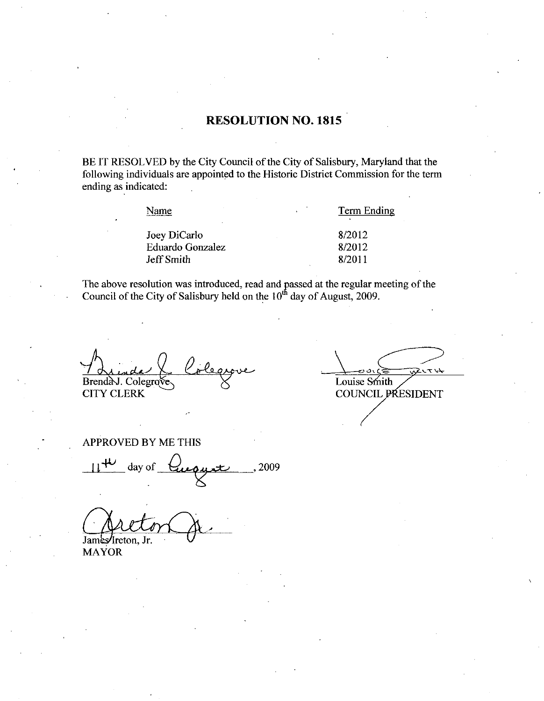#### RESOLUTION NO. 1815

BE IT RESOLVED by the City Council of the City of Salisbury, Maryland that the following individuals aze appointed to the Historic District Commission for the term ending as indicated

Name<br>
Joey DiCarlo<br>
Eduardo Gonzalez<br>
Eduardo Gonzalez<br>
8/2012 Name<br>
Joey DiCarlo<br>
Eduardo Gonzalez 8/2012<br>
Jeff Smith 8/2011 Verbalted University 198/2012<br>
Eduardo Gonzalez<br>
Jeff Smith 8/2011

Name Term Ending

The above resolution was introduced, read and passed at the regular meeting of the Cause il of the City of Solisbury hald an the 10<sup>th</sup> day of August 2000. Council of the City of Salisbury held on the  $10<sup>th</sup>$  day of August, 2009.

<u>a I</u> Brenda J. Colegrove CITY CLERK

ひてい Louise Smith COUNCIL PRESIDENT

APPROVED BY ME THIS

PROVED BY ME THIS<br> $l^{\text{HL}}$  day of  $\text{Quoulli}$ , 2009

James/Ireton, Jr.

MAYOR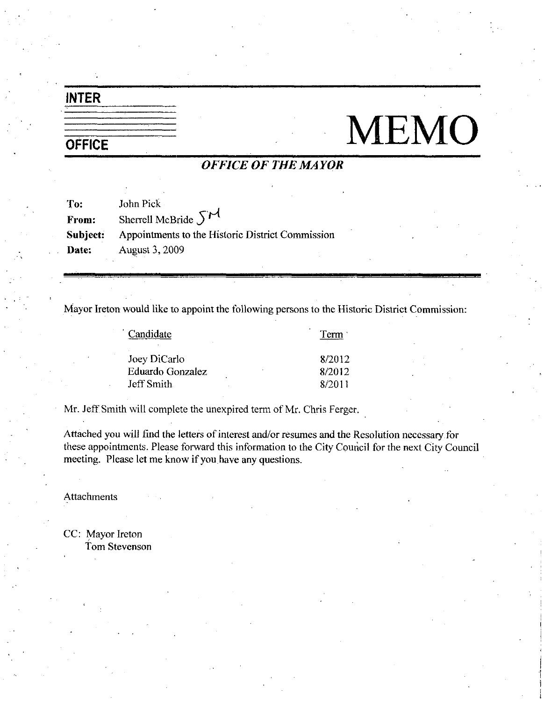#### INTER

# $\begin{tabular}{c|c} \hline \hline \texttt{INTER} & \texttt{MEMO} \\ \hline \texttt{OFFICE} & \texttt{OFFICE OF THE MAYOR} \\ \hline \end{tabular}$

#### OFFICE OF THE MAYOR

| To:      | John Pick                                        |
|----------|--------------------------------------------------|
| From:    | Sherrell McBride $5M$                            |
| Subject: | Appointments to the Historic District Commission |
| Date:    | August 3, 2009                                   |

Mayor Ireton would like to appoint the following persons to the Historic District Commission:

| Candidate        | Term   |
|------------------|--------|
| Joey DiCarlo     | 8/2012 |
| Eduardo Gonzalez | 8/2012 |
| Jeff Smith       | 8/2011 |
|                  |        |

Mr. Jeff Smith will complete the unexpired term of Mr. Chris Ferger.

Attached you will find the letters of interest and/or resumes and the Resolution necessary for these appointments. Please forward this information to the City Council for the next City Council meeting. Please let me know if you have any questions.

Attachments

CC: Mayor Ireton Tom Stevenson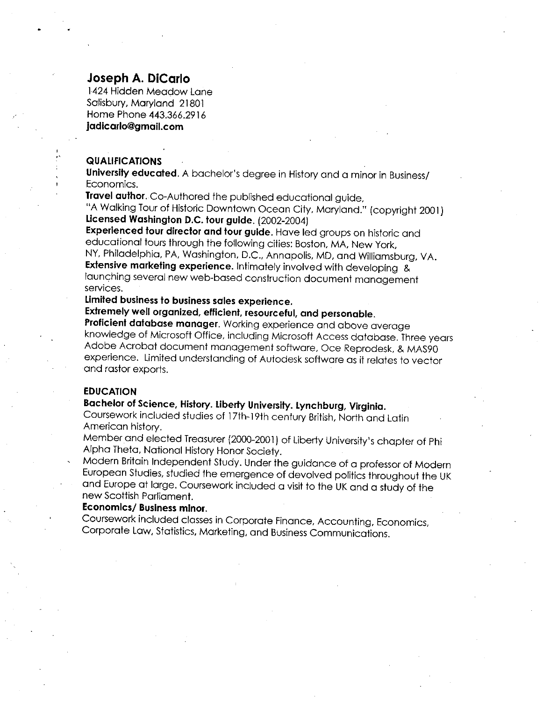#### Joseph A. DiCarlo

1424 Hidden Meadow Lane Salisbury, Maryland 21801 Home Phone 443.366.2916<br>**jadicarlo@gmail.com** 1424 Hidden Meadow<br>Salisbury, Maryland 21<br>Home Phone 443.366.<br>**jadicarlo@gmail.com** 

#### QUALIFICATIONS

University, Maryland 21001<br>Home Phone 443.366.2916<br>**|adicarlo@gmail.com**<br>**QUALIFICATIONS**<br>**University educated**. A bachelor's degree in History and a minor in Business/<br>Economics.<br>**Travel author**. Co-Authored the published Economics University educated. A bachelor's degree in History and a mil<br>Economics.<br>Travel author. Co-Authored the published educational guide,<br>"A Walking Tour of Historic Downtown Ocean City, Mandand."

Haver domor. Co-Aumorea me published educational guide,<br>"A Walking Tour of Historic Downtown Ocean City, Maryland." (copyright 2001)<br>Licensed Washington D.C. tour guide. (2002-2004)

Experienced tour director and tour guide. Have led groups on historic and educational tours through the following cities: Boston, MA, New York,

NY, Philadelphia, PA, Washington, D.C., Annapolis, MD, and Williamsburg, VA. Extensive marketing experience. Intimately involved with developing &<br>launching several new web-based construction document management launching several new web-based construction document management<br>services.

#### Limited business to business sales experience

Extremely well organized, efficient, resourceful, and personable.

Proficient database manager. Working experience and above average knowledge of Microsoft Office, including Microsoft Access database. Three years Adobe Acrobat document management software, Oce Reprodesk, & MAS90 experience. Limited understanding of Autodesk software as it relates to vector and rastor exports.

#### EDUCATION

#### Bachelor of Science, History. Liberty University. Lynchburg, Virginia.

Coursework included studies of 17th-19th century British, North and Latin American history

Member and elected Treasurer (2000-2001) of Liberty University's chapter of Phi Alpha Theta, National History Honor Society.

Modern Britain Independent Study Under the guidance of <sup>a</sup> professor of Modern European Studies studied the emergence of devolved politics throughout the UK and Europe at large. Coursework included a visit to the UK and a study of the new Scottish Parliament

#### Economics/ Business minor.

Coursework included classes in Corporate Finance, Accounting, Economics, Corporate Law, Statistics, Marketing, and Business Communications.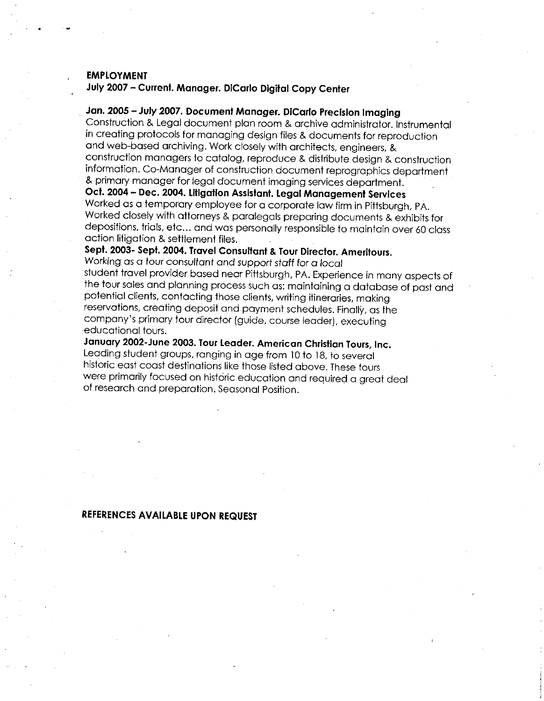#### EMPLOYMENT

July 2007 - Current. Manager. DiCarlo Digital Copy Center

#### Jan. 2005 - July 2007. Document Manager. DiCarlo Precision Imaging

Construction & Legal document plan room & archive administrator. Instrumental in creating protocols for managing design files & documents for reproduction<br>and web-based archiving. Work closely with architects, engineers, & construction managers to catalog, reproduce & distribute design & construction in the anny process for managing assignmes a accoments for reproduction<br>and web-based archiving. Work closely with architects, engineers, &<br>construction managers to catalog, reproduce & distribute design & construction<br>inf & primary manager for legal document imaging services department.

Oct. 2004 – Dec. 2004. Litigation Assistant. Legal Management Services Worked as a temporary employee for a corporate law firm in Pittsburgh, PA. Worked closely with attorneys & paralegals preparing documents & exhibits for depositions, trials, etc... and was personally responsible to maintain over 60 class action litigation & settlement files.

Sept. 2003- Sept. 2004. Travel Consultant & Tour Director. Ameritours.

Working as a tour consultant and support staff for a local student travel provider based near Pittsburgh PA Experience in many aspects of the tour sales and planning process such as: maintaining a database of past and potential clients, contacting those clients, writing itineraries, making reservations, creating deposit and payment schedules. Finally, as the<br>company's primary tour director (guide, course leader), executing Sept. 2003- Sept. 2004. Travel Consultant & Tour Director. Ameritour Working as a tour consultant and support staff for a local student travel provider based near Pittsburgh, PA. Experience in methe tour sales and planning educational tours

January 2002-June 2003. Tour Leader. American Christian Tours, Inc. Leading student groups, ranging in age from 10 to 18, to several historic east coast destinations like those listed above These tours were primarily focused on historic education and required a great deal of research and preparation. Seasonal Position.

#### REFERENCES AVAILABLE UPON REQUEST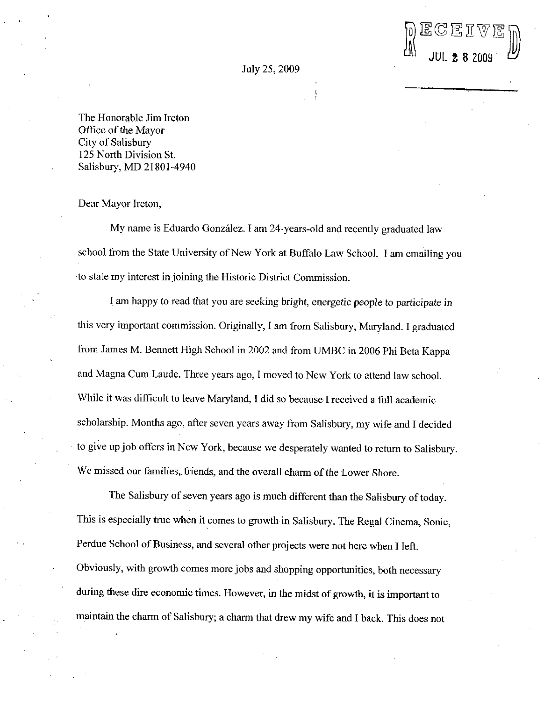DECEIVED

July 25 2009

The Honorable Jim Ireton Office of the Mayor City of Salisbury 125 North Division St Salisbury, MD 21801-4940

Dear Mayor Ireton

My name is Eduardo González. I am 24-years-old and recently graduated law school from the State University of New York at Buffalo Law School. I am emailing you to state my interest in joining the Historic District Commission

I am happy to read that you are seeking bright, energetic people to participate in this very important commission. Originally, I am from Salisbury, Maryland. I graduated from James M. Bennett High School in 2002 and from UMBC in 2006 Phi Beta Kappa and Magna Cum Laude. Three years ago, I moved to New York to attend law school. While it was difficult to leave Maryland, I did so because I received a full academic scholarship. Months ago, after seven years away from Salisbury, my wife and I decided to give up job offers in New York, because we desperately wanted to return to Salisbury. We missed our families, friends, and the overall charm of the Lower Shore.

The Salisbury of seven years ago is much different than the Salisbury of today. This is especially true when it comes to growth in Salisbury. The Regal Cinema, Sonic, Perdue School of Business, and several other projects were not here when I left. Obviously, with growth comes more jobs and shopping opportunities, both necessary during these dire economic times. However, in the midst of growth, it is important to maintain the charm of Salisbury; a charm that drew my wife and I back. This does not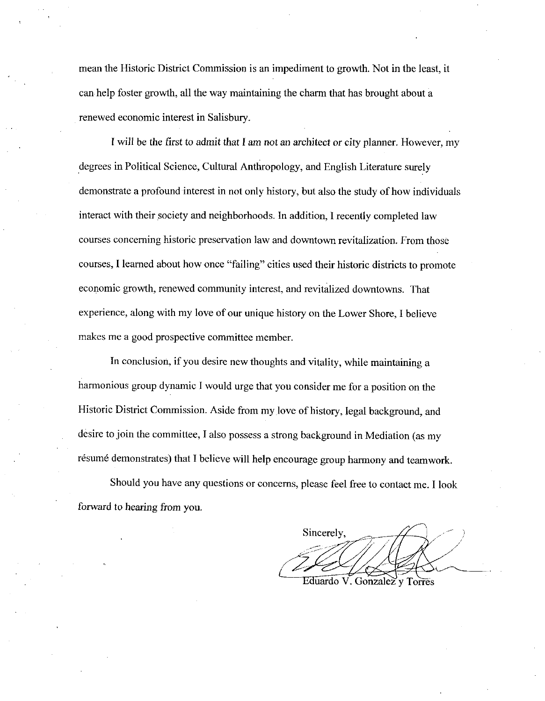mean the Historic District Commission is an impediment to growth. Not in the least, it can help foster growth, all the way maintaining the charm that has brought about a renewed economic interest in Salisbury

I will be the first to admit that I am not an architect or city planner. However, my degrees in Political Science, Cultural Anthropology, and English Literature surely demonstrate a profound interest in not only history, but also the study of how individuals interact with their society and neighborhoods. In addition, I recently completed law courses concerning historic preservation law and downtown revitalization. From those courses, I learned about how once "failing" cities used their historic districts to promote economic growth, renewed community interest, and revitalized downtowns. That experience, along with my love of our unique history on the Lower Shore, I believe makes me a good prospective committee member.

In conclusion, if you desire new thoughts and vitality, while maintaining a harmonious group dynamic I would urge that you consider me for a position on the Historic District Commission. Aside from my love of history, legal background, and desire to join the committee, I also possess a strong background in Mediation (as my résumé demonstrates) that I believe will help encourage group harmony and teamwork.

Should you have any questions or concerns, please feel free to contact me. I look forward to hearing from you

Sincerely, j<br>Z 1

Eduardo V. Gonzalez y Torres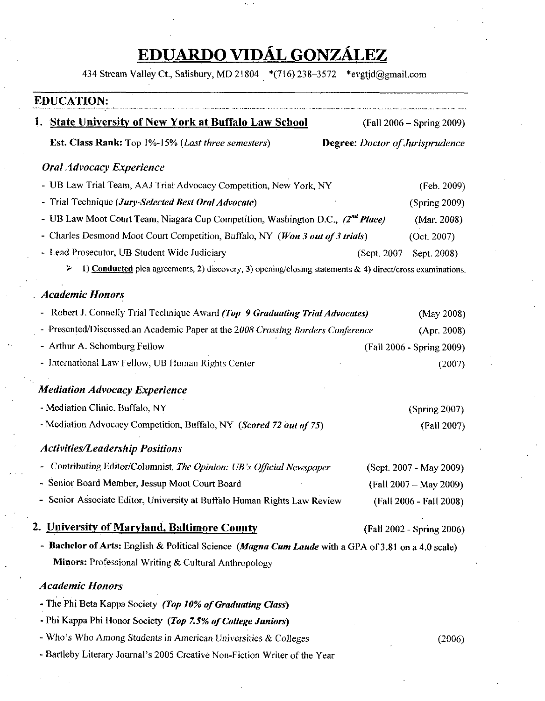### EDUARDO VIDÁL GONZÁLEZ<br>434 Stream Valley Ct., Salisbury, MD 21804 \*(716) 238–3572 \*evgtjd@gmail.com

|                                                | <b>EDUCATION:</b>                                                                                              |  |                                 |
|------------------------------------------------|----------------------------------------------------------------------------------------------------------------|--|---------------------------------|
|                                                | 1. State University of New York at Buffalo Law School                                                          |  | (Fall 2006 - Spring 2009)       |
|                                                | <b>Est. Class Rank:</b> Top 1%-15% ( <i>Last three semesters</i> )                                             |  | Degree: Doctor of Jurisprudence |
|                                                | <b>Oral Advocacy Experience</b>                                                                                |  |                                 |
|                                                | - UB Law Trial Team, AAJ Trial Advocacy Competition, New York, NY                                              |  | (Feb. 2009)                     |
|                                                | - Trial Technique (Jury-Selected Best Oral Advocate)                                                           |  | (Spring 2009)                   |
|                                                | - UB Law Moot Court Team, Niagara Cup Competition, Washington D.C., (2nd Place)                                |  | (Mar. 2008)                     |
|                                                | - Charles Desmond Moot Court Competition, Buffalo, NY (Won 3 out of 3 trials)                                  |  | (Oct. 2007)                     |
|                                                | - Lead Prosecutor, UB Student Wide Judiciary                                                                   |  | $(Sept. 2007 - Sept. 2008)$     |
|                                                | 1) Conducted plea agreements, 2) discovery, 3) opening/closing statements & 4) direct/cross examinations.<br>⋗ |  |                                 |
|                                                | <b>Academic Honors</b>                                                                                         |  |                                 |
| $\blacksquare$                                 | Robert J. Connelly Trial Technique Award (Top 9 Graduating Trial Advocates)                                    |  | (May 2008)                      |
|                                                | - Presented/Discussed an Academic Paper at the 2008 Crossing Borders Conference                                |  | (Apr. 2008)                     |
|                                                | - Arthur A. Schomburg Fellow                                                                                   |  | (Fall 2006 - Spring 2009)       |
|                                                | - International Law Fellow, UB Human Rights Center                                                             |  | (2007)                          |
|                                                | <b>Mediation Advocacy Experience</b>                                                                           |  |                                 |
|                                                | - Mediation Clinic. Buffalo, NY                                                                                |  | (Spring 2007)                   |
|                                                | - Mediation Advocacy Competition, Buffalo, NY (Scored 72 out of 75)                                            |  | (Fall 2007)                     |
|                                                | <b>Activities/Leadership Positions</b>                                                                         |  |                                 |
|                                                | - Contributing Editor/Columnist, The Opinion: UB's Official Newspaper                                          |  | (Sept. 2007 - May 2009)         |
| - Senior Board Member, Jessup Moot Court Board |                                                                                                                |  | $(Fall 2007 - May 2009)$        |
|                                                | - Senior Associate Editor, University at Buffalo Human Rights Law Review                                       |  | (Fall 2006 - Fall 2008)         |
|                                                | 2. University of Maryland, Baltimore County                                                                    |  | (Fall 2002 - Spring 2006)       |
|                                                | - Bachelor of Arts: English & Political Science (Magna Cum Laude with a GPA of 3.81 on a 4.0 scale)            |  |                                 |
|                                                | Minors: Professional Writing & Cultural Anthropology                                                           |  |                                 |
|                                                | <b>Academic Honors</b>                                                                                         |  |                                 |
|                                                | - The Phi Beta Kappa Society (Top 10% of Graduating Class)                                                     |  |                                 |
|                                                | - Phi Kappa Phi Honor Society (Top 7.5% of College Juniors)                                                    |  |                                 |
|                                                | - Who's Who Among Students in American Universities $\&$ Colleges                                              |  | (2006)                          |
|                                                |                                                                                                                |  |                                 |

- Who's Who Among Students in American Universities & Colleges<br>- Bartleby Literary Journal's 2005 Creative Non-Fiction Writer of the Year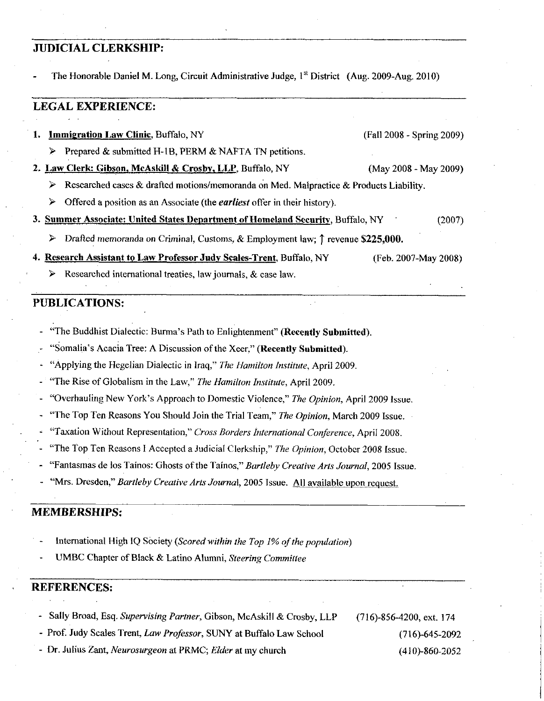#### JUDICIAL CLERKSHIP

The Honorable Daniel M. Long, Circuit Administrative Judge, 1<sup>st</sup> District (Aug. 2009-Aug. 2010)

#### LEGAL EXPERIENCE

1. **Immigration Law Clinic**, Buffalo, NY (Fall 2008 - Spring 2009)  $\triangleright$  Prepared & submitted H-1B, PERM & NAFTA TN petitions. 2. Law Clerk: Gibson, McAskill & Crosby, LLP, Buffalo, NY (May 2008 - May 2009) Researched cases & drafted motions/memoranda on Med. Malpractice & Products Liability.  $\triangleright$  Offered a position as an Associate (the *earliest* offer in their history). 3. Summer Associate: United States Department of Homeland Security, Buffalo, NY 2007)

- $\triangleright$  Drafted memoranda on Criminal, Customs, & Employment law:  $\uparrow$  revenue \$225,000.
- 4. Research Assistant to Law Professor Judy Scales-Trent, Buffalo, NY (Feb. 2007-May 2008)
	- Researched international treaties, law journals,  $\&$  case law.

#### PUBLICATIONS

- The Buddhist Dialectic: Burma's Path to Enlightenment" (Recently Submitted)<br>
Somalia's Acacia Tree: A Discussion of the Xeer." (Recently Submitted)
- **BLICATIONS:**<br>
"The Buddhist Dialectic: Burma's Path to Enlightenment" (Recently Submitted)<br>
"Somalia's Acacia Tree: A Discussion of the Xeer," (Recently Submitted)<br>
"Applying the Hegelian Dialectic in Iraq," *The Hamilton*
- "Applying the Hegelian Dialectic in Iraq," The Hamilton Institute, April 2009. "Applying the Hegelian Dist"<br>The Rise of Globalism in t"<br>Overhauling New York's selection Top Top Resears You"
- "The Rise of Globalism in the Law," The Hamilton Institute, April 2009.
- Approach to Domestic Violence," The Opinion, April 2009 Issue
- "The Top Ten Reasons You Should Join the Trial Team," The Opinion, March 2009 Issue.
- "Taxation Without Representation," Cross Borders International Conference, April 2008.
- "The Top Ten Reasons I Accepted a Judicial Clerkship," The Opinion, October 2008 Issue.
- "Fantasmas de los Taínos: Ghosts of the Taínos," Bartleby Creative Arts Journal, 2005 Issue.
- "Mrs. Dresden," Bartleby Creative Arts Journal, 2005 Issue. All available upon request.

#### MEMBERSIIIPS

- International High IQ Society (Scored within the Top 1% of the population)
- UMBC Chapter of Black & Latino Alumni, Steering Committee

#### REFERENCES

Sally Broad, Esq. Supervising Partner, Gibson, McAskill & Crosby, LLP (716)-856-4200, ext. 174

Prof. Judy Scales Trent, *Law Professor*, SUNY at Buffalo Law School (716)-645-2092<br>Dr. Julius Zant, *Neurosurgeon* at PRMC; *Elder* at my church (410)-860-2052

Sally Broad, Esq. Supervising Partner, Gibson, McAskill & Crosby, LLP (716)-856-4200, ext. 174<br>Prof. Judy Scales Trent, Law Professor, SUNY at Buffalo Law School (716)-645-2092<br>Dr. Julius Zont, Managarwoon et BBMC: Elder e